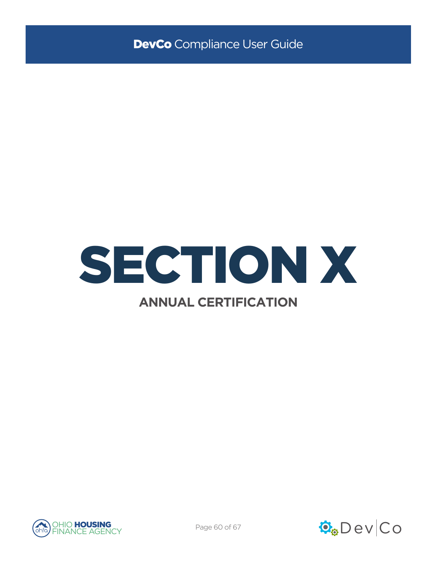





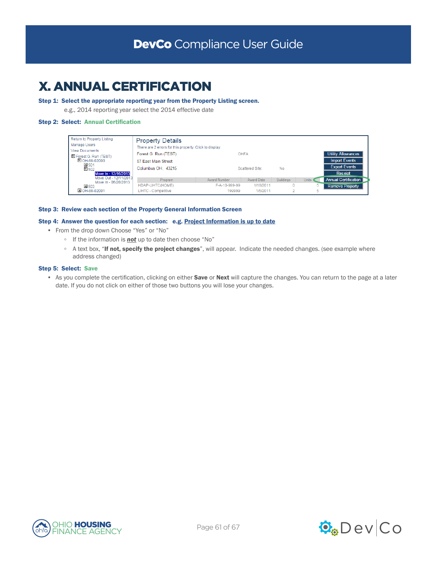# X. ANNUAL CERTIFICATION

# Step 1: Select the appropriate reporting year from the Property Listing screen.

e.g., 2014 reporting year select the 2014 effective date

# Step 2: Select: Annual Certification

| Return to Property Listing<br>Manage Users<br><b>View Documents</b> | <b>Property Details</b><br>There are 2 errors for this property. Click to display. |               |                 |                  |       |                             |
|---------------------------------------------------------------------|------------------------------------------------------------------------------------|---------------|-----------------|------------------|-------|-----------------------------|
| Forest G. Run (TEST)                                                | Forest G. Run (TEST)                                                               |               | OHFA            |                  |       | <b>Utility Allowances</b>   |
| $E$ OH-88-02000                                                     | <b>Import Events</b><br>57 East Main Street                                        |               |                 |                  |       |                             |
| ± 501<br>$E$ 502                                                    | Columbus OH. 43215                                                                 |               | Scattered Site: | No.              |       | <b>Export Events</b>        |
| Move In - 12/16/2013                                                |                                                                                    |               |                 |                  |       | Receipt                     |
| Move Out - 12/11/2013<br>Move In - 06/20/2013                       | Program                                                                            | Award Number  | Award Date      | <b>Buildings</b> | Units | <b>Annual Certification</b> |
| ± 503                                                               | HDAP-LIHTC(HOME)                                                                   | F-A-10-999-99 | 1/18/2011       |                  | 5.    | <b>Remove Property</b>      |
| DI OH-88-02001                                                      | LIHTC - Competitive                                                                | 199999        | 1/5/2011        |                  | 5     |                             |

#### Step 3: Review each section of the Property General Information Screen

#### Step 4: Answer the question for each section: e.g. Project Information is up to date

- From the drop down Choose "Yes" or "No"
	- If the information is *not* up to date then choose "No"
	- A text box, "If not, specify the project changes", will appear. Indicate the needed changes. (see example where address changed)

#### Step 5: Select: Save

• As you complete the certification, clicking on either Save or Next will capture the changes. You can return to the page at a later date. If you do not click on either of those two buttons you will lose your changes.

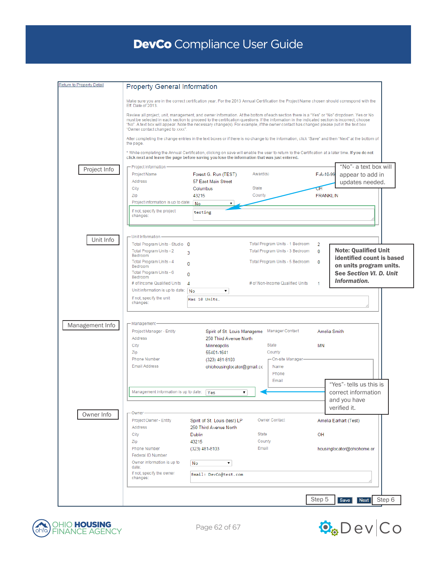| Return to Property Detail | <b>Property General Information</b>                                                                                                                                                                                                                                                                                                                                                                                                                                                                                                                                                                                                    |                               |          |                                 |                 |                                                      |
|---------------------------|----------------------------------------------------------------------------------------------------------------------------------------------------------------------------------------------------------------------------------------------------------------------------------------------------------------------------------------------------------------------------------------------------------------------------------------------------------------------------------------------------------------------------------------------------------------------------------------------------------------------------------------|-------------------------------|----------|---------------------------------|-----------------|------------------------------------------------------|
|                           | Make sure you are in the correct certification year. For the 2013 Annual Certification the Project Name chosen should correspond with the<br>Eff. Date of 2013.<br>Review all project, unit, management, and owner information. At the bottom of each section there is a "Yes" or "No" dropdown. Yes or No<br>must be selected in each section to proceed to the certification questions. If the information in the indicated section is incorrect, choose<br>"No". A text box will appear. Note the necessary change(s). For example, if the owner contact has changed please put in the text box<br>"Owner contact changed to xxxx". |                               |          |                                 |                 |                                                      |
|                           |                                                                                                                                                                                                                                                                                                                                                                                                                                                                                                                                                                                                                                        |                               |          |                                 |                 |                                                      |
|                           | After completing the change entries in the text boxes or if there is no change to the information, click "Save" and then "Next" at the bottom of<br>the page.                                                                                                                                                                                                                                                                                                                                                                                                                                                                          |                               |          |                                 |                 |                                                      |
|                           | * While completing the Annual Certification, clicking on save will enable the user to return to the Certification at a later time. If you do not<br>click next and leave the page before saving you lose the information that was just entered.                                                                                                                                                                                                                                                                                                                                                                                        |                               |          |                                 |                 |                                                      |
| Project Info              | - Project Information -<br>Project Name                                                                                                                                                                                                                                                                                                                                                                                                                                                                                                                                                                                                | Forest G. Run (TEST)          | Award(s) |                                 | F-A-10-99       | "No"- a text box will<br>appear to add in            |
|                           | Address                                                                                                                                                                                                                                                                                                                                                                                                                                                                                                                                                                                                                                | 57 East Main Street           |          |                                 |                 | updates needed.                                      |
|                           | City                                                                                                                                                                                                                                                                                                                                                                                                                                                                                                                                                                                                                                   | Columbus                      | State    |                                 | σH              |                                                      |
|                           | Zip                                                                                                                                                                                                                                                                                                                                                                                                                                                                                                                                                                                                                                    | 43215                         | County   |                                 | <b>FRANKLIN</b> |                                                      |
|                           | Project information is up to date:                                                                                                                                                                                                                                                                                                                                                                                                                                                                                                                                                                                                     | No                            |          |                                 |                 |                                                      |
|                           | If not, specify the project<br>changes:                                                                                                                                                                                                                                                                                                                                                                                                                                                                                                                                                                                                | testing                       |          |                                 |                 |                                                      |
|                           |                                                                                                                                                                                                                                                                                                                                                                                                                                                                                                                                                                                                                                        |                               |          |                                 |                 |                                                      |
| Unit Info                 | - Unit Information-<br>Total Program Units - Studio 0                                                                                                                                                                                                                                                                                                                                                                                                                                                                                                                                                                                  |                               |          | Total Program Units - 1 Bedroom | 2               |                                                      |
|                           | Total Program Units - 2                                                                                                                                                                                                                                                                                                                                                                                                                                                                                                                                                                                                                | 3                             |          | Total Program Units - 3 Bedroom | $\bf{0}$        | <b>Note: Qualified Unit</b>                          |
|                           | Bedroom<br>Total Program Units - 4<br>Bedroom                                                                                                                                                                                                                                                                                                                                                                                                                                                                                                                                                                                          | 0                             |          | Total Program Units - 5 Bedroom | $\mathbf{0}$    | identified count is based<br>on units program units. |
|                           | Total Program Units - 6                                                                                                                                                                                                                                                                                                                                                                                                                                                                                                                                                                                                                | $\mathbf{0}$                  |          |                                 |                 | See Section VI. D. Unit                              |
|                           | Bedroom                                                                                                                                                                                                                                                                                                                                                                                                                                                                                                                                                                                                                                |                               |          |                                 |                 | Information.                                         |
|                           | # of Income Qualified Units                                                                                                                                                                                                                                                                                                                                                                                                                                                                                                                                                                                                            | 4                             |          | # of Non-Income Qualified Units | 1               |                                                      |
|                           | Unit information is up to date: $N_0$                                                                                                                                                                                                                                                                                                                                                                                                                                                                                                                                                                                                  | ۷.                            |          |                                 |                 |                                                      |
|                           | If not, specify the unit<br>changes:                                                                                                                                                                                                                                                                                                                                                                                                                                                                                                                                                                                                   | Has 10 Units.                 |          |                                 |                 |                                                      |
| Management Info           | -Management-                                                                                                                                                                                                                                                                                                                                                                                                                                                                                                                                                                                                                           |                               |          |                                 |                 |                                                      |
|                           | Project Manager - Entity                                                                                                                                                                                                                                                                                                                                                                                                                                                                                                                                                                                                               | Spirit of St. Louis Manageme  |          | Manager Contact                 | Amelia Smith    |                                                      |
|                           | <b>Address</b>                                                                                                                                                                                                                                                                                                                                                                                                                                                                                                                                                                                                                         | 250 Third Avenue North        |          |                                 |                 |                                                      |
|                           | City                                                                                                                                                                                                                                                                                                                                                                                                                                                                                                                                                                                                                                   | Minneapolis                   |          | State                           | <b>MN</b>       |                                                      |
|                           | Zip                                                                                                                                                                                                                                                                                                                                                                                                                                                                                                                                                                                                                                    | 55401-1641                    |          | County                          |                 |                                                      |
|                           | <b>Phone Number</b>                                                                                                                                                                                                                                                                                                                                                                                                                                                                                                                                                                                                                    | (323) 481-8103                |          | On-site Manager                 |                 |                                                      |
|                           | <b>Email Address</b>                                                                                                                                                                                                                                                                                                                                                                                                                                                                                                                                                                                                                   | ohiohousinglocator@gmail.cc   |          | Name                            |                 |                                                      |
|                           |                                                                                                                                                                                                                                                                                                                                                                                                                                                                                                                                                                                                                                        |                               |          | Phone                           |                 |                                                      |
|                           |                                                                                                                                                                                                                                                                                                                                                                                                                                                                                                                                                                                                                                        |                               |          | Email                           |                 |                                                      |
|                           |                                                                                                                                                                                                                                                                                                                                                                                                                                                                                                                                                                                                                                        |                               |          |                                 |                 | "Yes"- tells us this is                              |
|                           | Management information is up to date:                                                                                                                                                                                                                                                                                                                                                                                                                                                                                                                                                                                                  | Yes<br>7                      |          |                                 |                 | correct information                                  |
|                           |                                                                                                                                                                                                                                                                                                                                                                                                                                                                                                                                                                                                                                        |                               |          |                                 |                 | and you have                                         |
|                           |                                                                                                                                                                                                                                                                                                                                                                                                                                                                                                                                                                                                                                        |                               |          |                                 |                 | verified it.                                         |
| Owner Info                | Owner                                                                                                                                                                                                                                                                                                                                                                                                                                                                                                                                                                                                                                  |                               |          |                                 |                 |                                                      |
|                           | Project Owner - Entity                                                                                                                                                                                                                                                                                                                                                                                                                                                                                                                                                                                                                 | Spirit of St. Louis (test) LP |          | Owner Contact                   |                 | Amelia Earhart (Test)                                |
|                           | Address                                                                                                                                                                                                                                                                                                                                                                                                                                                                                                                                                                                                                                | 250 Third Avenue North        |          |                                 |                 |                                                      |
|                           | City                                                                                                                                                                                                                                                                                                                                                                                                                                                                                                                                                                                                                                   | <b>Dublin</b>                 | State    |                                 | OH              |                                                      |
|                           | Zip                                                                                                                                                                                                                                                                                                                                                                                                                                                                                                                                                                                                                                    | 43215                         | County   |                                 |                 |                                                      |
|                           | <b>Phone Number</b>                                                                                                                                                                                                                                                                                                                                                                                                                                                                                                                                                                                                                    | (323) 481-8103                | Email    |                                 |                 | housinglocator@ohiohome.or                           |
|                           | Federal ID Number                                                                                                                                                                                                                                                                                                                                                                                                                                                                                                                                                                                                                      |                               |          |                                 |                 |                                                      |
|                           | Owner information is up to<br>date:                                                                                                                                                                                                                                                                                                                                                                                                                                                                                                                                                                                                    | No<br>▼                       |          |                                 |                 |                                                      |
|                           | If not, specify the owner<br>changes:                                                                                                                                                                                                                                                                                                                                                                                                                                                                                                                                                                                                  | Email: DevCo@test.com         |          |                                 |                 |                                                      |
|                           |                                                                                                                                                                                                                                                                                                                                                                                                                                                                                                                                                                                                                                        |                               |          |                                 |                 |                                                      |
|                           |                                                                                                                                                                                                                                                                                                                                                                                                                                                                                                                                                                                                                                        |                               |          |                                 |                 |                                                      |
|                           |                                                                                                                                                                                                                                                                                                                                                                                                                                                                                                                                                                                                                                        |                               |          |                                 | Step 5          | Step 6<br>Save<br><b>Next</b>                        |



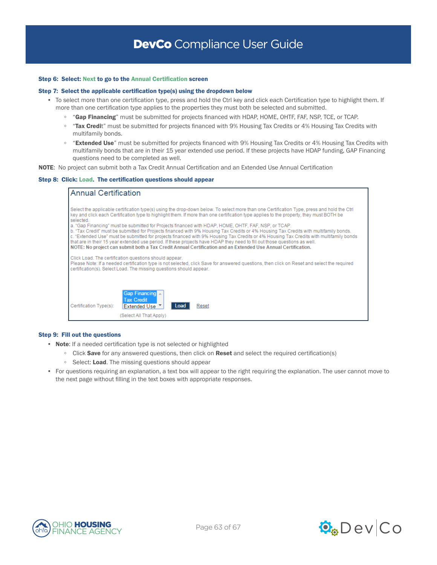#### Step 6: Select: Next to go to the Annual Certification screen

#### Step 7: Select the applicable certification type(s) using the dropdown below

- To select more than one certification type, press and hold the Ctrl key and click each Certification type to highlight them. If more than one certification type applies to the properties they must both be selected and submitted.
	- "Gap Financing" must be submitted for projects financed with HDAP, HOME, OHTF, FAF, NSP, TCE, or TCAP.
	- "Tax Credit" must be submitted for projects financed with 9% Housing Tax Credits or 4% Housing Tax Credits with multifamily bonds.
	- "Extended Use" must be submitted for projects financed with 9% Housing Tax Credits or 4% Housing Tax Credits with multifamily bonds that are in their 15 year extended use period. If these projects have HDAP funding, GAP Financing questions need to be completed as well.

NOTE: No project can submit both a Tax Credit Annual Certification and an Extended Use Annual Certification

#### Step 8: Click: Load. The certification questions should appear

| <b>Annual Certification</b>                                                                                                                                                                                                                                                                                                                                                                                                                                                                                                                                                                                                          |  |  |  |  |
|--------------------------------------------------------------------------------------------------------------------------------------------------------------------------------------------------------------------------------------------------------------------------------------------------------------------------------------------------------------------------------------------------------------------------------------------------------------------------------------------------------------------------------------------------------------------------------------------------------------------------------------|--|--|--|--|
| Select the applicable certification type(s) using the drop-down below. To select more than one Certification Type, press and hold the Ctrl<br>key and click each Certification type to highlight them. If more than one certification type applies to the property, they must BOTH be<br>selected.                                                                                                                                                                                                                                                                                                                                   |  |  |  |  |
| a. "Gap Financing" must be submitted for Projects financed with HDAP, HOME, OHTF, FAF, NSP, or TCAP,<br>b. "Tax Credit" must be submitted for Projects financed with 9% Housing Tax Credits or 4% Housing Tax Credits with multifamily bonds.<br>c. "Extended Use" must be submitted for projects financed with 9% Housing Tax Credits or 4% Housing Tax Credits with multifamily bonds<br>that are in their 15 year extended use period. If these projects have HDAP they need to fill out those questions as well.<br>NOTE: No project can submit both a Tax Credit Annual Certification and an Extended Use Annual Certification. |  |  |  |  |
| Click Load. The certification questions should appear.<br>Please Note: If a needed certification type is not selected, click Save for answered questions, then click on Reset and select the required<br>certification(s). Select Load. The missing questions should appear.                                                                                                                                                                                                                                                                                                                                                         |  |  |  |  |
|                                                                                                                                                                                                                                                                                                                                                                                                                                                                                                                                                                                                                                      |  |  |  |  |
| Gap Financing $\overline{\phantom{a}}$<br><b>Tax Credit</b><br>Certification Type(s):<br>Reset<br>Extended Use ▼<br>Load                                                                                                                                                                                                                                                                                                                                                                                                                                                                                                             |  |  |  |  |
| (Select All That Apply)                                                                                                                                                                                                                                                                                                                                                                                                                                                                                                                                                                                                              |  |  |  |  |

#### Step 9: Fill out the questions

- Note: If a needed certification type is not selected or highlighted
	- Click Save for any answered questions, then click on Reset and select the required certification(s)
	- Select: Load. The missing questions should appear
- For questions requiring an explanation, a text box will appear to the right requiring the explanation. The user cannot move to the next page without filling in the text boxes with appropriate responses.



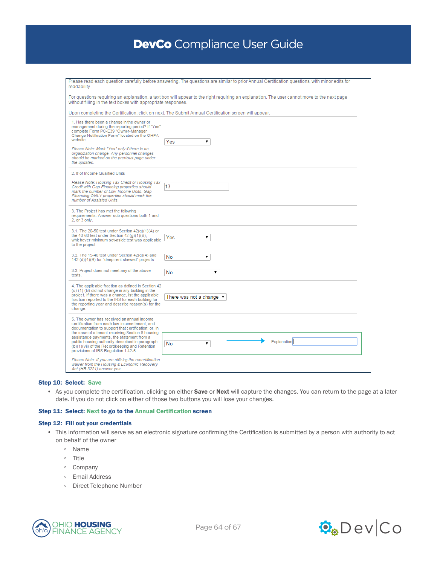| readability.                                                                                                                                                                                                                                                                          | Please read each question carefully before answering. The questions are similar to prior Annual Certification questions, with minor edits for |
|---------------------------------------------------------------------------------------------------------------------------------------------------------------------------------------------------------------------------------------------------------------------------------------|-----------------------------------------------------------------------------------------------------------------------------------------------|
| without filling in the text boxes with appropriate responses.                                                                                                                                                                                                                         | For questions requiring an explanation, a text box will appear to the right requiring an explanation. The user cannot move to the next page   |
|                                                                                                                                                                                                                                                                                       | Upon completing the Certification, click on next. The Submit Annual Certification screen will appear.                                         |
| 1. Has there been a change in the owner or<br>management during the reporting period? If "Yes"<br>complete Form PC-E39 "Owner-Manager<br>Change Notification Form" located on the OHFA<br>website.                                                                                    | Yes<br>۷.                                                                                                                                     |
| Please Note: Mark "Yes" only if there is an<br>organization change. Any personnel changes<br>should be marked on the previous page under<br>the updates.                                                                                                                              |                                                                                                                                               |
| 2. # of Income Qualified Units                                                                                                                                                                                                                                                        |                                                                                                                                               |
| Please Note: Housing Tax Credit or Housing Tax<br>Credit with Gap Financing properties should<br>mark the number of Low-Income Units. Gap<br>Financing ONLY properties should mark the<br>number of Assisted Units.                                                                   | 13                                                                                                                                            |
| 3. The Project has met the following<br>requirements: Answer sub questions both 1 and<br>2. or 3 only.                                                                                                                                                                                |                                                                                                                                               |
| 3.1. The 20-50 test under Section $42(q)(1)(A)$ or<br>the 40-60 test under Section 42 $(q)(1)(B)$ ,<br>whichever minimum set-aside test was applicable<br>to the project                                                                                                              | ۷.<br>Yes                                                                                                                                     |
| 3.2. The 15-40 test under Section $42(q)(4)$ and<br>142 (d)(4)(B) for "deep rent skewed" projects                                                                                                                                                                                     | No<br>۷.                                                                                                                                      |
| 3.3. Project does not meet any of the above<br>tests.                                                                                                                                                                                                                                 | No<br>۷.                                                                                                                                      |
| 4. The applicable fraction as defined in Section 42<br>(c) (1) (B) did not change in any building in the<br>project. If there was a change, list the applicable<br>fraction reported to the IRS for each building for<br>the reporting year and describe reason(s) for the<br>change. | There was not a change $\blacktriangledown$                                                                                                   |
| 5. The owner has received an annual income<br>certification from each low-income tenant, and<br>documentation to support that certification; or, in<br>the case of a tenant receiving Section 8 housing                                                                               |                                                                                                                                               |
| assistance payments, the statement from a<br>public housing authority described in paragraph<br>(b)(1)(vii) of the Recordkeeping and Retention<br>provisions of IRS Regulation 1.42-5.                                                                                                | Explanation<br>۷.<br>No                                                                                                                       |
| Please Note: If you are utilizing the recertification<br>waiver from the Housing & Economic Recovery<br>Act (HR 3221) answer yes.                                                                                                                                                     |                                                                                                                                               |

### Step 10: Select: Save

• As you complete the certification, clicking on either Save or Next will capture the changes. You can return to the page at a later date. If you do not click on either of those two buttons you will lose your changes.

### Step 11: Select: Next to go to the Annual Certification screen

#### Step 12: Fill out your credentials

- This information will serve as an electronic signature confirming the Certification is submitted by a person with authority to act on behalf of the owner
	- Name
	- Title
	- Company
	- Email Address
	- Direct Telephone Number



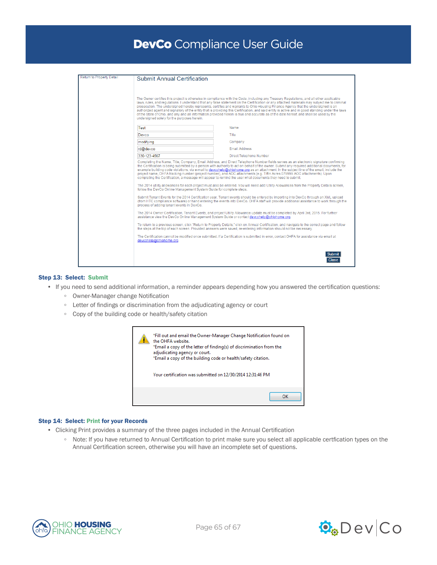| <b>Return to Property Detail</b> | <b>Submit Annual Certification</b>                                                                                                                                                                                                                                                                                                                                                                                                                                                                                                                                                                                                                                       |                         |  |  |  |  |
|----------------------------------|--------------------------------------------------------------------------------------------------------------------------------------------------------------------------------------------------------------------------------------------------------------------------------------------------------------------------------------------------------------------------------------------------------------------------------------------------------------------------------------------------------------------------------------------------------------------------------------------------------------------------------------------------------------------------|-------------------------|--|--|--|--|
|                                  |                                                                                                                                                                                                                                                                                                                                                                                                                                                                                                                                                                                                                                                                          |                         |  |  |  |  |
|                                  |                                                                                                                                                                                                                                                                                                                                                                                                                                                                                                                                                                                                                                                                          |                         |  |  |  |  |
|                                  |                                                                                                                                                                                                                                                                                                                                                                                                                                                                                                                                                                                                                                                                          |                         |  |  |  |  |
|                                  | The Owner certifies this project is otherwise in compliance with the Code, including any Treasury Regulations, and all other applicable                                                                                                                                                                                                                                                                                                                                                                                                                                                                                                                                  |                         |  |  |  |  |
|                                  | laws, rules, and regulations. I understand that any false statement on the Certification or any attached materials may subject me to criminal<br>prosecution. The undersigned hereby represents, certifies and warrants to Ohio Housing Finance Agency that the undersigned is an<br>authorized agent and signatory of the entity that is providing this Certification, and said entity is active and in good standing under the laws<br>of the State of Ohio, and any and all information provided herein is true and accurate as of the date hereof, and shall be used by the                                                                                          |                         |  |  |  |  |
|                                  |                                                                                                                                                                                                                                                                                                                                                                                                                                                                                                                                                                                                                                                                          |                         |  |  |  |  |
|                                  | undersigned solely for the purposes herein.                                                                                                                                                                                                                                                                                                                                                                                                                                                                                                                                                                                                                              |                         |  |  |  |  |
|                                  |                                                                                                                                                                                                                                                                                                                                                                                                                                                                                                                                                                                                                                                                          |                         |  |  |  |  |
|                                  | Test                                                                                                                                                                                                                                                                                                                                                                                                                                                                                                                                                                                                                                                                     | Name                    |  |  |  |  |
|                                  | Devco                                                                                                                                                                                                                                                                                                                                                                                                                                                                                                                                                                                                                                                                    | Title                   |  |  |  |  |
|                                  | modifying                                                                                                                                                                                                                                                                                                                                                                                                                                                                                                                                                                                                                                                                | Company                 |  |  |  |  |
|                                  | rd@devco                                                                                                                                                                                                                                                                                                                                                                                                                                                                                                                                                                                                                                                                 | <b>Email Address</b>    |  |  |  |  |
|                                  | 330-123-4567                                                                                                                                                                                                                                                                                                                                                                                                                                                                                                                                                                                                                                                             | Direct Telephone Number |  |  |  |  |
|                                  | Completing the Name, Title, Company, Email Address, and Direct Telephone Number fields serves as an electronic signature confirming<br>the Certification is being submitted by a person with authority to act on behalf of the owner. Submit any required additional documents, for<br>example building code violations, via e-mail to devcohelp@ohiohome.org as an attachment. In the subject line of the email, include the<br>project name, OHFA tracking number (project number), and AOC attachments (e.g. Tiffin Acres 079999 AOC attachments). Upon<br>completing the Certification, a message will appear to remind the user what documents they need to submit. |                         |  |  |  |  |
|                                  | The 2014 utility allowances for each project must also be entered. You will need add Utility Allowances from the Property Details screen,<br>follow the DevCo Online Management System Guide for complete steps.                                                                                                                                                                                                                                                                                                                                                                                                                                                         |                         |  |  |  |  |
|                                  | Submit Tenant Events for the 2014 Certification year. Tenant events should be entered by importing into DevCo through an XML upload<br>(from HTC compliance software) or hand entering the events into DevCo. OHFA staff will provide additional assistance to work through the<br>process of adding tenant events in DevCo.                                                                                                                                                                                                                                                                                                                                             |                         |  |  |  |  |
|                                  | The 2014 Owner Certification, Tenant Events, and project Utility Allowance update must be completed by April 3rd, 2015. For further<br>assistance view the DevCo Online Management System Guide or contact devcohelp@ohiohome.org.                                                                                                                                                                                                                                                                                                                                                                                                                                       |                         |  |  |  |  |
|                                  | To return to a previous screen, click "Return to Property Details," click on Annual Certification, and navigate to the correct page and follow<br>the steps at the top of each screen. Provided answers were saved, re-entering information should not be necessary.<br>The Certification cannot be modified once submitted. If a Certification is submitted in error, contact OHFA for assistance via email at<br>devcohelp@ohiohome.org.                                                                                                                                                                                                                               |                         |  |  |  |  |
|                                  |                                                                                                                                                                                                                                                                                                                                                                                                                                                                                                                                                                                                                                                                          |                         |  |  |  |  |
|                                  |                                                                                                                                                                                                                                                                                                                                                                                                                                                                                                                                                                                                                                                                          |                         |  |  |  |  |
|                                  |                                                                                                                                                                                                                                                                                                                                                                                                                                                                                                                                                                                                                                                                          | Submit<br><b>Close</b>  |  |  |  |  |

# Step 13: Select: Submit

- If you need to send additional information, a reminder appears depending how you answered the certification questions:
	- Owner-Manager change Notification
	- Letter of findings or discrimination from the adjudicating agency or court
	- Copy of the building code or health/safety citation

| *Fill out and email the Owner-Manager Change Notification found on<br>the OHEA website.<br>*Email a copy of the letter of finding(s) of discrimination from the<br>adjudicating agency or court.<br>*Email a copy of the building code or health/safety citation.<br>Your certification was submitted on 12/30/2014 12:31:46 PM |
|---------------------------------------------------------------------------------------------------------------------------------------------------------------------------------------------------------------------------------------------------------------------------------------------------------------------------------|
| OK                                                                                                                                                                                                                                                                                                                              |

## Step 14: Select: Print for your Records

- Clicking Print provides a summary of the three pages included in the Annual Certification
	- Note: If you have returned to Annual Certification to print make sure you select all applicable certfication types on the Annual Certification screen, otherwise you will have an incomplete set of questions.